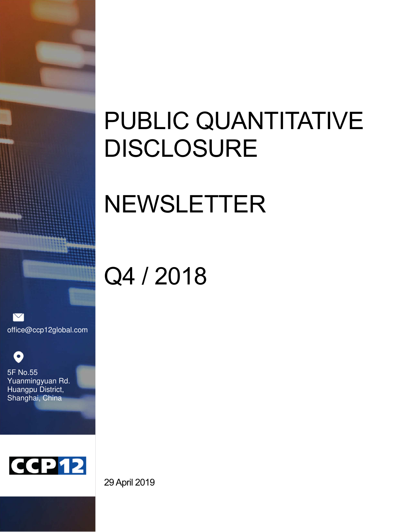# PUBLIC QUANTITATIVE DISCLOSURE

# NEWSLETTER

# Q4 / 2018

 $\triangledown$ office@ccp12global.com

O 5F No.55 Yuanmingyuan Rd. Huangpu District, Shanghai, China



29 April 2019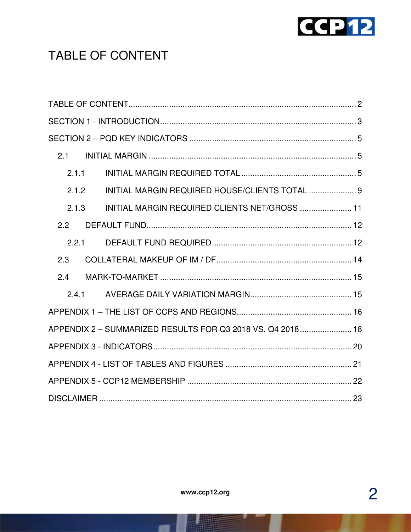

# TABLE OF CONTENT

| 2.1   |                                                            |  |  |
|-------|------------------------------------------------------------|--|--|
| 2.1.1 |                                                            |  |  |
| 2.1.2 | INITIAL MARGIN REQUIRED HOUSE/CLIENTS TOTAL  9             |  |  |
| 2.1.3 | INITIAL MARGIN REQUIRED CLIENTS NET/GROSS  11              |  |  |
| 2.2   |                                                            |  |  |
| 2.2.1 |                                                            |  |  |
| 2.3   |                                                            |  |  |
| 2.4   |                                                            |  |  |
| 2.4.1 |                                                            |  |  |
|       |                                                            |  |  |
|       | APPENDIX 2 - SUMMARIZED RESULTS FOR Q3 2018 VS. Q4 2018 18 |  |  |
|       |                                                            |  |  |
|       |                                                            |  |  |
|       |                                                            |  |  |
|       |                                                            |  |  |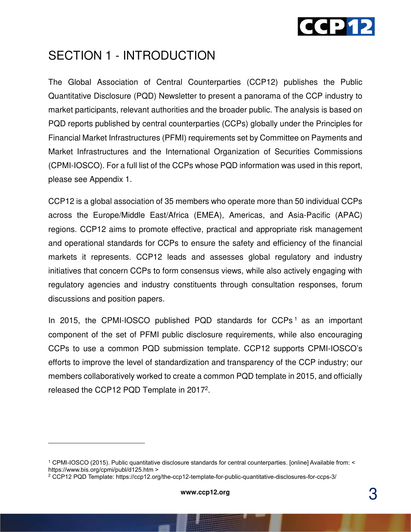

### SECTION 1 - INTRODUCTION

The Global Association of Central Counterparties (CCP12) publishes the Public Quantitative Disclosure (PQD) Newsletter to present a panorama of the CCP industry to market participants, relevant authorities and the broader public. The analysis is based on PQD reports published by central counterparties (CCPs) globally under the Principles for Financial Market Infrastructures (PFMI) requirements set by Committee on Payments and Market Infrastructures and the International Organization of Securities Commissions (CPMI-IOSCO). For a full list of the CCPs whose PQD information was used in this report, please see Appendix 1.

CCP12 is a global association of 35 members who operate more than 50 individual CCPs across the Europe/Middle East/Africa (EMEA), Americas, and Asia-Pacific (APAC) regions. CCP12 aims to promote effective, practical and appropriate risk management and operational standards for CCPs to ensure the safety and efficiency of the financial markets it represents. CCP12 leads and assesses global regulatory and industry initiatives that concern CCPs to form consensus views, while also actively engaging with regulatory agencies and industry constituents through consultation responses, forum discussions and position papers.

In 2015, the CPMI-IOSCO published PQD standards for CCPs<sup>1</sup> as an important component of the set of PFMI public disclosure requirements, while also encouraging CCPs to use a common PQD submission template. CCP12 supports CPMI-IOSCO's efforts to improve the level of standardization and transparency of the CCP industry; our members collaboratively worked to create a common PQD template in 2015, and officially released the CCP12 PQD Template in 2017<sup>2</sup>.

 $\overline{a}$ 

<sup>1</sup> CPMI-IOSCO (2015). Public quantitative disclosure standards for central counterparties. [online] Available from: < https://www.bis.org/cpmi/publ/d125.htm >

<sup>2</sup> CCP12 PQD Template: https://ccp12.org/the-ccp12-template-for-public-quantitative-disclosures-for-ccps-3/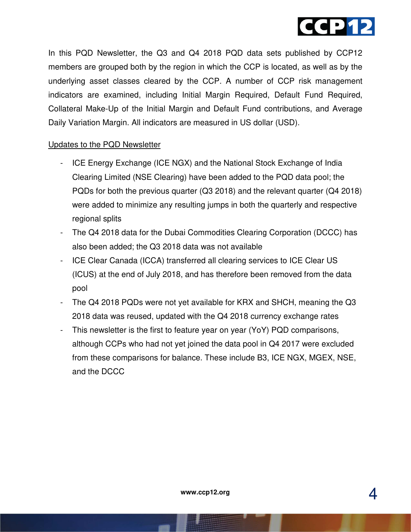

In this PQD Newsletter, the Q3 and Q4 2018 PQD data sets published by CCP12 members are grouped both by the region in which the CCP is located, as well as by the underlying asset classes cleared by the CCP. A number of CCP risk management indicators are examined, including Initial Margin Required, Default Fund Required, Collateral Make-Up of the Initial Margin and Default Fund contributions, and Average Daily Variation Margin. All indicators are measured in US dollar (USD).

#### Updates to the PQD Newsletter

- ICE Energy Exchange (ICE NGX) and the National Stock Exchange of India Clearing Limited (NSE Clearing) have been added to the PQD data pool; the PQDs for both the previous quarter (Q3 2018) and the relevant quarter (Q4 2018) were added to minimize any resulting jumps in both the quarterly and respective regional splits
- The Q4 2018 data for the Dubai Commodities Clearing Corporation (DCCC) has also been added; the Q3 2018 data was not available
- ICE Clear Canada (ICCA) transferred all clearing services to ICE Clear US (ICUS) at the end of July 2018, and has therefore been removed from the data pool
- The Q4 2018 PQDs were not yet available for KRX and SHCH, meaning the Q3 2018 data was reused, updated with the Q4 2018 currency exchange rates
- This newsletter is the first to feature year on year (YoY) PQD comparisons, although CCPs who had not yet joined the data pool in Q4 2017 were excluded from these comparisons for balance. These include B3, ICE NGX, MGEX, NSE, and the DCCC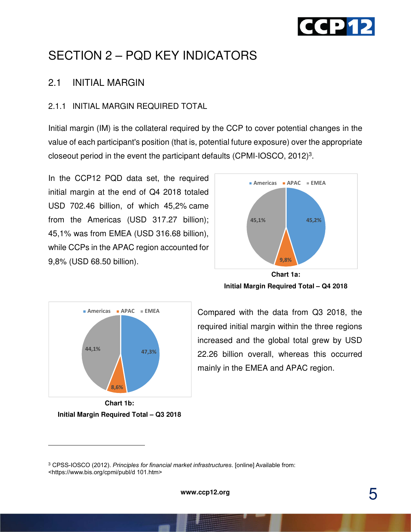

# SECTION 2 – PQD KEY INDICATORS

#### 2.1 INITIAL MARGIN

#### 2.1.1 INITIAL MARGIN REQUIRED TOTAL

Initial margin (IM) is the collateral required by the CCP to cover potential changes in the value of each participant's position (that is, potential future exposure) over the appropriate closeout period in the event the participant defaults (CPMI-IOSCO, 2012)<sup>3</sup>.

In the CCP12 PQD data set, the required initial margin at the end of Q4 2018 totaled USD 702.46 billion, of which 45,2% came from the Americas (USD 317.27 billion); 45,1% was from EMEA (USD 316.68 billion), while CCPs in the APAC region accounted for 9,8% (USD 68.50 billion).



**Initial Margin Required Total – Q4 2018** 



**Chart 1b: Initial Margin Required Total – Q3 2018** 

-

Compared with the data from Q3 2018, the required initial margin within the three regions increased and the global total grew by USD 22.26 billion overall, whereas this occurred mainly in the EMEA and APAC region.

<sup>3</sup> CPSS-IOSCO (2012). *Principles for financial market infrastructures*. [online] Available from: <https://www.bis.org/cpmi/publ/d 101.htm>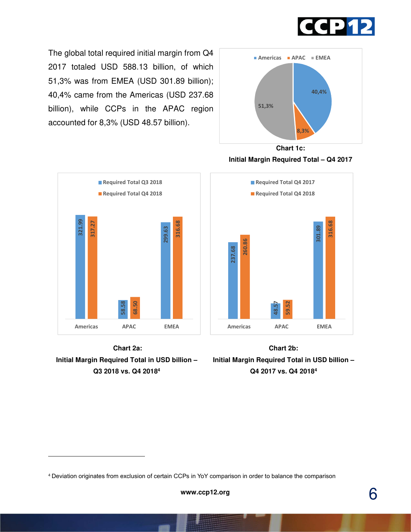

The global total required initial margin from Q4 2017 totaled USD 588.13 billion, of which 51,3% was from EMEA (USD 301.89 billion); 40,4% came from the Americas (USD 237.68 billion), while CCPs in the APAC region accounted for 8,3% (USD 48.57 billion).



**321.99 58.58 299.63 317.27 68.50 316.68 Americas APAC EMEA Required Total Q3 2018 Required Total Q4 2018**



-





**Chart 2b: Initial Margin Required Total in USD billion – Q4 2017 vs. Q4 2018<sup>4</sup>**

<sup>4</sup> Deviation originates from exclusion of certain CCPs in YoY comparison in order to balance the comparison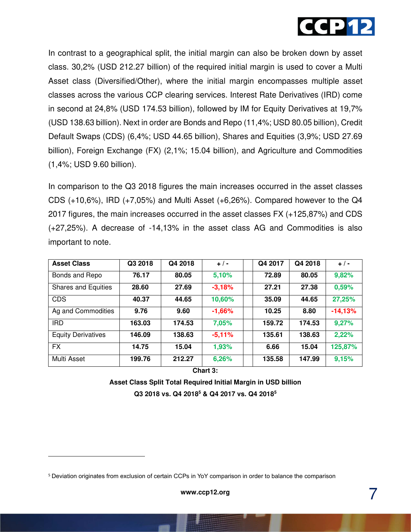

In contrast to a geographical split, the initial margin can also be broken down by asset class. 30,2% (USD 212.27 billion) of the required initial margin is used to cover a Multi Asset class (Diversified/Other), where the initial margin encompasses multiple asset classes across the various CCP clearing services. Interest Rate Derivatives (IRD) come in second at 24,8% (USD 174.53 billion), followed by IM for Equity Derivatives at 19,7% (USD 138.63 billion). Next in order are Bonds and Repo (11,4%; USD 80.05 billion), Credit Default Swaps (CDS) (6,4%; USD 44.65 billion), Shares and Equities (3,9%; USD 27.69 billion), Foreign Exchange (FX) (2,1%; 15.04 billion), and Agriculture and Commodities (1,4%; USD 9.60 billion).

In comparison to the Q3 2018 figures the main increases occurred in the asset classes CDS (+10,6%), IRD (+7,05%) and Multi Asset (+6,26%). Compared however to the Q4 2017 figures, the main increases occurred in the asset classes FX (+125,87%) and CDS (+27,25%). A decrease of -14,13% in the asset class AG and Commodities is also important to note.

| <b>Asset Class</b>         | Q3 2018 | Q4 2018 | $+/-$    | Q4 2017 | Q4 2018 | $+$ / -   |
|----------------------------|---------|---------|----------|---------|---------|-----------|
| Bonds and Repo             | 76.17   | 80.05   | 5,10%    | 72.89   | 80.05   | 9,82%     |
| <b>Shares and Equities</b> | 28.60   | 27.69   | $-3,18%$ | 27.21   | 27.38   | 0,59%     |
| <b>CDS</b>                 | 40.37   | 44.65   | 10,60%   | 35.09   | 44.65   | 27,25%    |
| Ag and Commodities         | 9.76    | 9.60    | $-1,66%$ | 10.25   | 8.80    | $-14,13%$ |
| <b>IRD</b>                 | 163.03  | 174.53  | 7,05%    | 159.72  | 174.53  | 9,27%     |
| <b>Equity Derivatives</b>  | 146.09  | 138.63  | $-5,11%$ | 135.61  | 138.63  | 2,22%     |
| <b>FX</b>                  | 14.75   | 15.04   | 1,93%    | 6.66    | 15.04   | 125,87%   |
| Multi Asset                | 199.76  | 212.27  | 6,26%    | 135.58  | 147.99  | 9,15%     |

**Chart 3:** 

**Asset Class Split Total Required Initial Margin in USD billion Q3 2018 vs. Q4 2018<sup>5</sup> & Q4 2017 vs. Q4 2018<sup>5</sup>**

-

<sup>5</sup> Deviation originates from exclusion of certain CCPs in YoY comparison in order to balance the comparison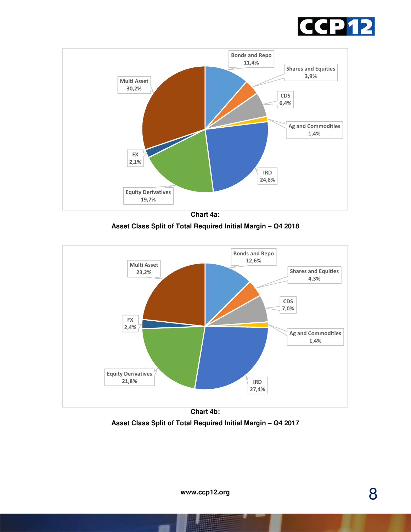



**Chart 4a: Asset Class Split of Total Required Initial Margin – Q4 2018** 



**Chart 4b: Asset Class Split of Total Required Initial Margin – Q4 2017**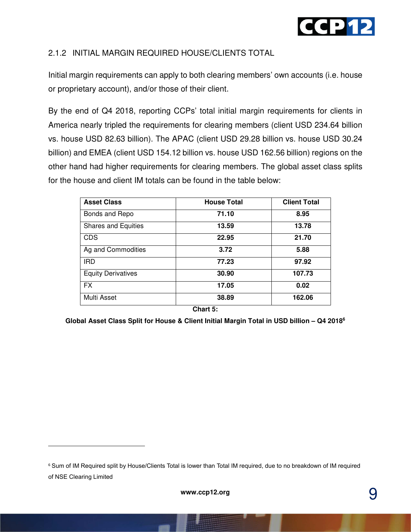

#### 2.1.2 INITIAL MARGIN REQUIRED HOUSE/CLIENTS TOTAL

Initial margin requirements can apply to both clearing members' own accounts (i.e. house or proprietary account), and/or those of their client.

By the end of Q4 2018, reporting CCPs' total initial margin requirements for clients in America nearly tripled the requirements for clearing members (client USD 234.64 billion vs. house USD 82.63 billion). The APAC (client USD 29.28 billion vs. house USD 30.24 billion) and EMEA (client USD 154.12 billion vs. house USD 162.56 billion) regions on the other hand had higher requirements for clearing members. The global asset class splits for the house and client IM totals can be found in the table below:

| <b>Asset Class</b>         | <b>House Total</b> | <b>Client Total</b> |
|----------------------------|--------------------|---------------------|
| Bonds and Repo             | 71.10              | 8.95                |
| <b>Shares and Equities</b> | 13.59              | 13.78               |
| <b>CDS</b>                 | 22.95              | 21.70               |
| Ag and Commodities         | 3.72               | 5.88                |
| <b>IRD</b>                 | 77.23              | 97.92               |
| <b>Equity Derivatives</b>  | 30.90              | 107.73              |
| <b>FX</b>                  | 17.05              | 0.02                |
| Multi Asset                | 38.89              | 162.06              |

**Chart 5:** 

**Global Asset Class Split for House & Client Initial Margin Total in USD billion – Q4 2018<sup>6</sup>**

<u>.</u>

<sup>6</sup> Sum of IM Required split by House/Clients Total is lower than Total IM required, due to no breakdown of IM required of NSE Clearing Limited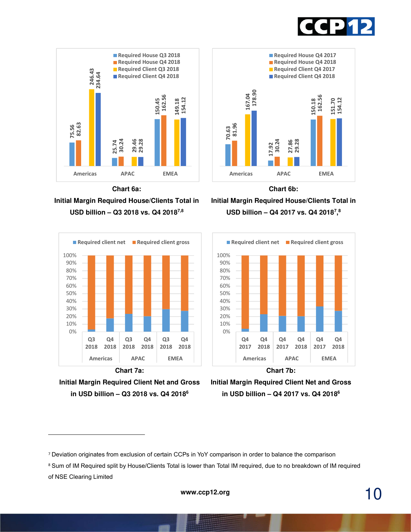







**Initial Margin Required House/Clients Total in USD billion – Q3 2018 vs. Q4 20187,8** 







<u>.</u>







<sup>7</sup> Deviation originates from exclusion of certain CCPs in YoY comparison in order to balance the comparison

<sup>8</sup> Sum of IM Required split by House/Clients Total is lower than Total IM required, due to no breakdown of IM required of NSE Clearing Limited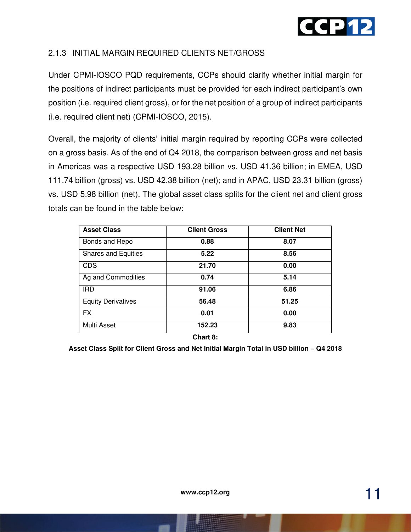

#### 2.1.3 INITIAL MARGIN REQUIRED CLIENTS NET/GROSS

Under CPMI-IOSCO PQD requirements, CCPs should clarify whether initial margin for the positions of indirect participants must be provided for each indirect participant's own position (i.e. required client gross), or for the net position of a group of indirect participants (i.e. required client net) (CPMI-IOSCO, 2015).

Overall, the majority of clients' initial margin required by reporting CCPs were collected on a gross basis. As of the end of Q4 2018, the comparison between gross and net basis in Americas was a respective USD 193.28 billion vs. USD 41.36 billion; in EMEA, USD 111.74 billion (gross) vs. USD 42.38 billion (net); and in APAC, USD 23.31 billion (gross) vs. USD 5.98 billion (net). The global asset class splits for the client net and client gross totals can be found in the table below:

| <b>Asset Class</b>         | <b>Client Gross</b>         | <b>Client Net</b> |
|----------------------------|-----------------------------|-------------------|
| Bonds and Repo             | 0.88                        | 8.07              |
| <b>Shares and Equities</b> | 5.22                        | 8.56              |
| <b>CDS</b>                 | 21.70                       | 0.00              |
| Ag and Commodities         | 0.74                        | 5.14              |
| <b>IRD</b>                 | 91.06                       | 6.86              |
| <b>Equity Derivatives</b>  | 56.48                       | 51.25             |
| <b>FX</b>                  | 0.01                        | 0.00              |
| Multi Asset                | 152.23                      | 9.83              |
|                            | $\mathbf{a}$ . $\mathbf{a}$ |                   |

**Chart 8:** 

**Asset Class Split for Client Gross and Net Initial Margin Total in USD billion – Q4 2018**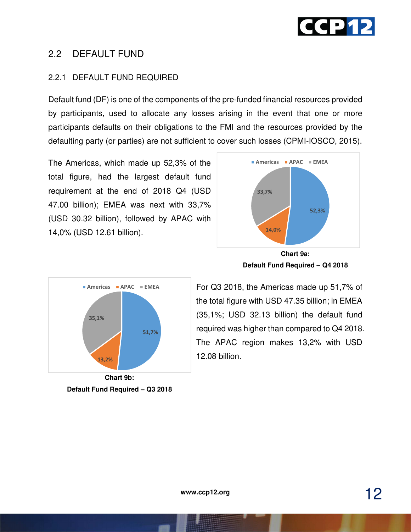

#### 2.2 DEFAULT FUND

#### 2.2.1 DEFAULT FUND REQUIRED

Default fund (DF) is one of the components of the pre-funded financial resources provided by participants, used to allocate any losses arising in the event that one or more participants defaults on their obligations to the FMI and the resources provided by the defaulting party (or parties) are not sufficient to cover such losses (CPMI-IOSCO, 2015).

The Americas, which made up 52,3% of the total figure, had the largest default fund requirement at the end of 2018 Q4 (USD 47.00 billion); EMEA was next with 33,7% (USD 30.32 billion), followed by APAC with 14,0% (USD 12.61 billion).



**Default Fund Required – Q3 2018** 



**Chart 9a: Default Fund Required – Q4 2018** 

For Q3 2018, the Americas made up 51,7% of the total figure with USD 47.35 billion; in EMEA (35,1%; USD 32.13 billion) the default fund required was higher than compared to Q4 2018. The APAC region makes 13,2% with USD 12.08 billion.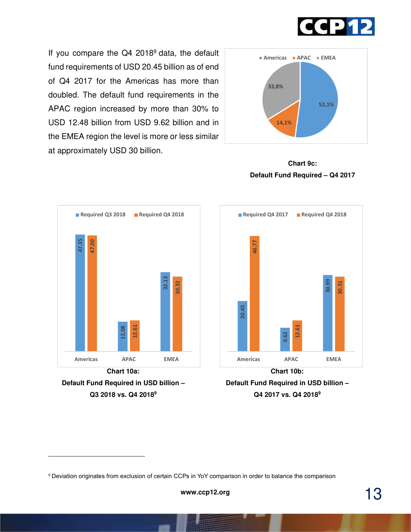

If you compare the Q4 2018<sup>9</sup> data, the default fund requirements of USD 20.45 billion as of end of Q4 2017 for the Americas has more than doubled. The default fund requirements in the APAC region increased by more than 30% to USD 12.48 billion from USD 9.62 billion and in the EMEA region the level is more or less similar at approximately USD 30 billion.



**Chart 9c: Default Fund Required – Q4 2017** 



**Default Fund Required in USD billion – Q3 2018 vs. Q4 2018<sup>9</sup>**

-



**Default Fund Required in USD billion – Q4 2017 vs. Q4 2018<sup>9</sup>**

<sup>9</sup> Deviation originates from exclusion of certain CCPs in YoY comparison in order to balance the comparison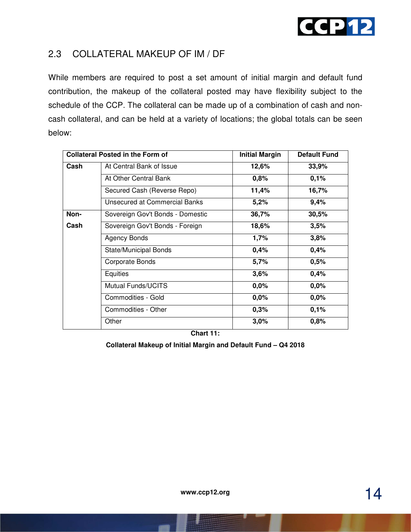

#### 2.3 COLLATERAL MAKEUP OF IM / DF

While members are required to post a set amount of initial margin and default fund contribution, the makeup of the collateral posted may have flexibility subject to the schedule of the CCP. The collateral can be made up of a combination of cash and noncash collateral, and can be held at a variety of locations; the global totals can be seen below:

|      | <b>Collateral Posted in the Form of</b> | <b>Initial Margin</b> | <b>Default Fund</b> |
|------|-----------------------------------------|-----------------------|---------------------|
| Cash | At Central Bank of Issue                | 12,6%                 | 33,9%               |
|      | At Other Central Bank                   | 0,8%                  | 0,1%                |
|      | Secured Cash (Reverse Repo)             | 11,4%                 | 16,7%               |
|      | Unsecured at Commercial Banks           | 5,2%                  | 9,4%                |
| Non- | Sovereign Gov't Bonds - Domestic        | 36,7%                 | 30,5%               |
| Cash | Sovereign Gov't Bonds - Foreign         | 18,6%                 | 3,5%                |
|      | Agency Bonds                            | 1,7%                  | 3,8%                |
|      | <b>State/Municipal Bonds</b>            | 0,4%                  | 0,4%                |
|      | Corporate Bonds                         | 5,7%                  | 0,5%                |
|      | Equities                                | 3,6%                  | 0,4%                |
|      | <b>Mutual Funds/UCITS</b>               | 0,0%                  | 0,0%                |
|      | Commodities - Gold                      | 0,0%                  | 0,0%                |
|      | Commodities - Other                     | 0,3%                  | 0,1%                |
|      | Other                                   | 3,0%                  | 0,8%                |

**Chart 11:** 

**Collateral Makeup of Initial Margin and Default Fund – Q4 2018**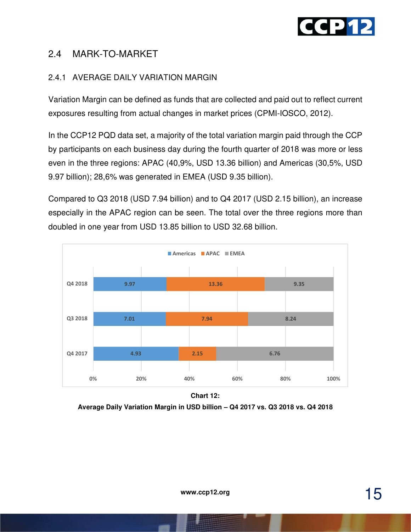

#### 2.4 MARK-TO-MARKET

#### 2.4.1 AVERAGE DAILY VARIATION MARGIN

Variation Margin can be defined as funds that are collected and paid out to reflect current exposures resulting from actual changes in market prices (CPMI-IOSCO, 2012).

In the CCP12 PQD data set, a majority of the total variation margin paid through the CCP by participants on each business day during the fourth quarter of 2018 was more or less even in the three regions: APAC (40,9%, USD 13.36 billion) and Americas (30,5%, USD 9.97 billion); 28,6% was generated in EMEA (USD 9.35 billion).

Compared to Q3 2018 (USD 7.94 billion) and to Q4 2017 (USD 2.15 billion), an increase especially in the APAC region can be seen. The total over the three regions more than doubled in one year from USD 13.85 billion to USD 32.68 billion.



**Chart 12:** 

**Average Daily Variation Margin in USD billion – Q4 2017 vs. Q3 2018 vs. Q4 2018**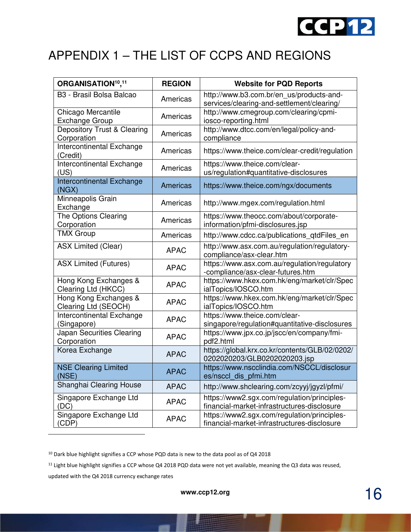

# APPENDIX 1 – THE LIST OF CCPS AND REGIONS

| ORGANISATION <sup>10</sup> , <sup>11</sup>    | <b>REGION</b> | <b>Website for PQD Reports</b>                                                             |
|-----------------------------------------------|---------------|--------------------------------------------------------------------------------------------|
| B3 - Brasil Bolsa Balcao                      | Americas      | http://www.b3.com.br/en_us/products-and-<br>services/clearing-and-settlement/clearing/     |
| Chicago Mercantile<br><b>Exchange Group</b>   | Americas      | http://www.cmegroup.com/clearing/cpmi-<br>iosco-reporting.html                             |
| Depository Trust & Clearing<br>Corporation    | Americas      | http://www.dtcc.com/en/legal/policy-and-<br>compliance                                     |
| Intercontinental Exchange<br>(Credit)         | Americas      | https://www.theice.com/clear-credit/regulation                                             |
| Intercontinental Exchange<br>(US)             | Americas      | https://www.theice.com/clear-<br>us/regulation#quantitative-disclosures                    |
| Intercontinental Exchange<br>(NGX)            | Americas      | https://www.theice.com/ngx/documents                                                       |
| Minneapolis Grain<br>Exchange                 | Americas      | http://www.mgex.com/regulation.html                                                        |
| The Options Clearing<br>Corporation           | Americas      | https://www.theocc.com/about/corporate-<br>information/pfmi-disclosures.jsp                |
| <b>TMX Group</b>                              | Americas      | http://www.cdcc.ca/publications_qtdFiles_en                                                |
| <b>ASX Limited (Clear)</b>                    | <b>APAC</b>   | http://www.asx.com.au/regulation/regulatory-<br>compliance/asx-clear.htm                   |
| <b>ASX Limited (Futures)</b>                  | <b>APAC</b>   | https://www.asx.com.au/regulation/regulatory<br>-compliance/asx-clear-futures.htm          |
| Hong Kong Exchanges &<br>Clearing Ltd (HKCC)  | <b>APAC</b>   | https://www.hkex.com.hk/eng/market/clr/Spec<br>ialTopics/IOSCO.htm                         |
| Hong Kong Exchanges &<br>Clearing Ltd (SEOCH) | <b>APAC</b>   | https://www.hkex.com.hk/eng/market/clr/Spec<br>ialTopics/IOSCO.htm                         |
| Intercontinental Exchange<br>(Singapore)      | <b>APAC</b>   | https://www.theice.com/clear-<br>singapore/regulation#quantitative-disclosures             |
| Japan Securities Clearing<br>Corporation      | <b>APAC</b>   | https://www.jpx.co.jp/jscc/en/company/fmi-<br>pdf2.html                                    |
| Korea Exchange                                | <b>APAC</b>   | https://global.krx.co.kr/contents/GLB/02/0202/<br>0202020203/GLB0202020203.jsp             |
| <b>NSE Clearing Limited</b><br>(NSE)          | <b>APAC</b>   | https://www.nscclindia.com/NSCCL/disclosur<br>es/nsccl dis pfmi.htm                        |
| Shanghai Clearing House                       | <b>APAC</b>   | http://www.shclearing.com/zcyyj/jgyzl/pfmi/                                                |
| Singapore Exchange Ltd<br>(DC)                | <b>APAC</b>   | https://www2.sgx.com/regulation/principles-<br>financial-market-infrastructures-disclosure |
| Singapore Exchange Ltd<br>CDP)                | <b>APAC</b>   | https://www2.sgx.com/regulation/principles-<br>financial-market-infrastructures-disclosure |

<sup>10</sup> Dark blue highlight signifies a CCP whose PQD data is new to the data pool as of Q4 2018

<sup>11</sup> Light blue highlight signifies a CCP whose Q4 2018 PQD data were not yet available, meaning the Q3 data was reused,

updated with the Q4 2018 currency exchange rates

<u>.</u>

16 **www.ccp12.org**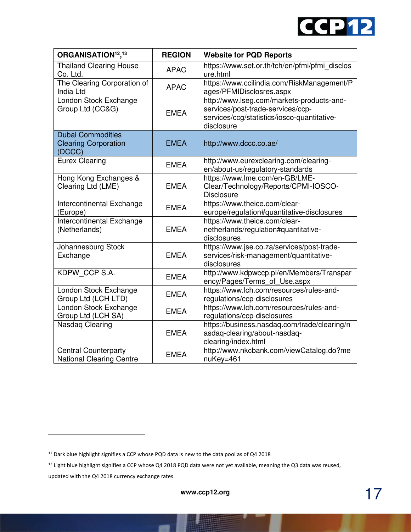

| ORGANISATION <sup>12</sup> , <sup>13</sup>                        | <b>REGION</b> | <b>Website for PQD Reports</b>                                                                                                              |
|-------------------------------------------------------------------|---------------|---------------------------------------------------------------------------------------------------------------------------------------------|
| <b>Thailand Clearing House</b><br>Co. Ltd.                        | <b>APAC</b>   | https://www.set.or.th/tch/en/pfmi/pfmi_disclos<br>ure.html                                                                                  |
| The Clearing Corporation of<br>India Ltd                          | <b>APAC</b>   | https://www.ccilindia.com/RiskManagement/P<br>ages/PFMIDisclosres.aspx                                                                      |
| London Stock Exchange<br>Group Ltd (CC&G)                         | <b>EMEA</b>   | http://www.lseg.com/markets-products-and-<br>services/post-trade-services/ccp-<br>services/ccg/statistics/iosco-quantitative-<br>disclosure |
| <b>Dubai Commodities</b><br><b>Clearing Corporation</b><br>(DCCC) | <b>EMEA</b>   | http://www.dccc.co.ae/                                                                                                                      |
| <b>Eurex Clearing</b>                                             | <b>EMEA</b>   | http://www.eurexclearing.com/clearing-<br>en/about-us/regulatory-standards                                                                  |
| Hong Kong Exchanges &<br>Clearing Ltd (LME)                       | <b>EMEA</b>   | https://www.lme.com/en-GB/LME-<br>Clear/Technology/Reports/CPMI-IOSCO-<br><b>Disclosure</b>                                                 |
| Intercontinental Exchange<br>(Europe)                             | <b>EMEA</b>   | https://www.theice.com/clear-<br>europe/regulation#quantitative-disclosures                                                                 |
| Intercontinental Exchange<br>(Netherlands)                        | <b>EMEA</b>   | https://www.theice.com/clear-<br>netherlands/regulation#quantitative-<br>disclosures                                                        |
| Johannesburg Stock<br>Exchange                                    | <b>EMEA</b>   | https://www.jse.co.za/services/post-trade-<br>services/risk-management/quantitative-<br>disclosures                                         |
| KDPW CCP S.A.                                                     | <b>EMEA</b>   | http://www.kdpwccp.pl/en/Members/Transpar<br>ency/Pages/Terms_of_Use.aspx                                                                   |
| London Stock Exchange<br>Group Ltd (LCH LTD)                      | <b>EMEA</b>   | https://www.lch.com/resources/rules-and-<br>regulations/ccp-disclosures                                                                     |
| London Stock Exchange<br>Group Ltd (LCH SA)                       | <b>EMEA</b>   | https://www.lch.com/resources/rules-and-<br>regulations/ccp-disclosures                                                                     |
| Nasdag Clearing                                                   | <b>EMEA</b>   | https://business.nasdaq.com/trade/clearing/n<br>asdaq-clearing/about-nasdaq-<br>clearing/index.html                                         |
| <b>Central Counterparty</b><br><b>National Clearing Centre</b>    | <b>EMEA</b>   | http://www.nkcbank.com/viewCatalog.do?me<br>nuKey=461                                                                                       |

<u>.</u>

<sup>12</sup> Dark blue highlight signifies a CCP whose PQD data is new to the data pool as of Q4 2018

<sup>&</sup>lt;sup>13</sup> Light blue highlight signifies a CCP whose Q4 2018 PQD data were not yet available, meaning the Q3 data was reused,

updated with the Q4 2018 currency exchange rates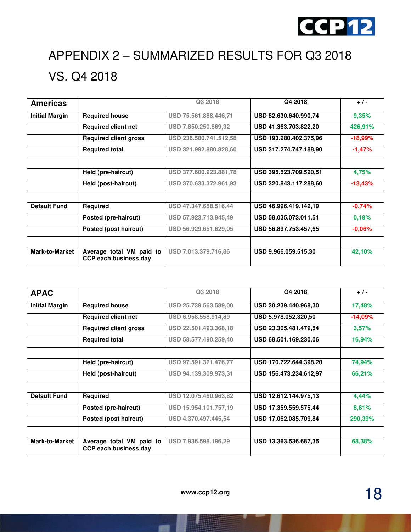

# APPENDIX 2 – SUMMARIZED RESULTS FOR Q3 2018 VS. Q4 2018

| <b>Americas</b>       |                                                          | Q3 2018                | Q4 2018                | $+$ / -   |
|-----------------------|----------------------------------------------------------|------------------------|------------------------|-----------|
| <b>Initial Margin</b> | <b>Required house</b>                                    | USD 75.561.888.446,71  | USD 82.630.640.990,74  | 9,35%     |
|                       | <b>Required client net</b>                               | USD 7.850.250.869.32   | USD 41.363.703.822,20  | 426,91%   |
|                       | <b>Required client gross</b>                             | USD 238.580.741.512,58 | USD 193.280.402.375.96 | $-18,99%$ |
|                       | <b>Required total</b>                                    | USD 321.992.880.828,60 | USD 317.274.747.188,90 | $-1,47%$  |
|                       |                                                          |                        |                        |           |
|                       | Held (pre-haircut)                                       | USD 377.600.923.881,78 | USD 395.523.709.520.51 | 4,75%     |
|                       | Held (post-haircut)                                      | USD 370.633.372.961,93 | USD 320.843.117.288,60 | $-13,43%$ |
|                       |                                                          |                        |                        |           |
| <b>Default Fund</b>   | Required                                                 | USD 47.347.658.516,44  | USD 46.996.419.142,19  | $-0,74%$  |
|                       | Posted (pre-haircut)                                     | USD 57.923.713.945,49  | USD 58.035.073.011,51  | 0.19%     |
|                       | Posted (post haircut)                                    | USD 56.929.651.629,05  | USD 56.897.753.457,65  | $-0,06%$  |
|                       |                                                          |                        |                        |           |
| <b>Mark-to-Market</b> | Average total VM paid to<br><b>CCP each business day</b> | USD 7.013.379.716,86   | USD 9.966.059.515,30   | 42,10%    |

| <b>APAC</b>           |                                                          | Q3 2018               | Q4 2018                | $+$ / -   |
|-----------------------|----------------------------------------------------------|-----------------------|------------------------|-----------|
| <b>Initial Margin</b> | <b>Required house</b>                                    | USD 25.739.563.589,00 | USD 30.239.440.968,30  | 17,48%    |
|                       | <b>Required client net</b>                               | USD 6.958.558.914,89  | USD 5.978.052.320.50   | $-14,09%$ |
|                       | <b>Required client gross</b>                             | USD 22.501.493.368,18 | USD 23.305.481.479.54  | 3,57%     |
|                       | <b>Required total</b>                                    | USD 58.577.490.259,40 | USD 68.501.169.230.06  | 16,94%    |
|                       |                                                          |                       |                        |           |
|                       | Held (pre-haircut)                                       | USD 97.591.321.476,77 | USD 170.722.644.398,20 | 74,94%    |
|                       | Held (post-haircut)                                      | USD 94.139.309.973,31 | USD 156.473.234.612.97 | 66,21%    |
|                       |                                                          |                       |                        |           |
| <b>Default Fund</b>   | <b>Required</b>                                          | USD 12.075.460.963,82 | USD 12.612.144.975,13  | 4,44%     |
|                       | Posted (pre-haircut)                                     | USD 15.954.101.757,19 | USD 17.359.559.575,44  | 8,81%     |
|                       | Posted (post haircut)                                    | USD 4.370.497.445,54  | USD 17.062.085.709,84  | 290,39%   |
|                       |                                                          |                       |                        |           |
| <b>Mark-to-Market</b> | Average total VM paid to<br><b>CCP each business day</b> | USD 7.936.598.196,29  | USD 13.363.536.687,35  | 68,38%    |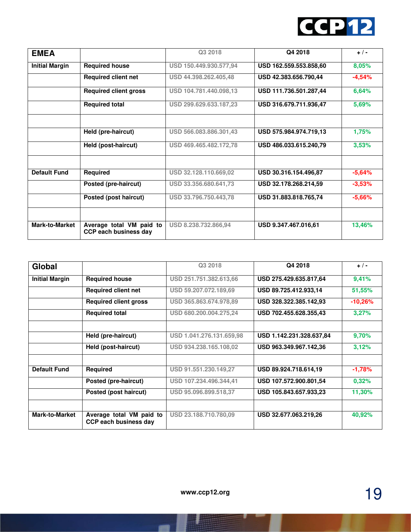

| <b>EMEA</b>           |                                                          | Q3 2018                | Q4 2018                | $+$ / -  |
|-----------------------|----------------------------------------------------------|------------------------|------------------------|----------|
| <b>Initial Margin</b> | <b>Required house</b>                                    | USD 150.449.930.577,94 | USD 162.559.553.858.60 | 8,05%    |
|                       | <b>Required client net</b>                               | USD 44.398.262.405,48  | USD 42.383.656.790,44  | $-4,54%$ |
|                       | <b>Required client gross</b>                             | USD 104.781.440.098,13 | USD 111.736.501.287,44 | 6,64%    |
|                       | <b>Required total</b>                                    | USD 299.629.633.187,23 | USD 316.679.711.936,47 | 5,69%    |
|                       | Held (pre-haircut)                                       | USD 566.083.886.301,43 | USD 575.984.974.719.13 | 1,75%    |
|                       | Held (post-haircut)                                      | USD 469.465.482.172,78 | USD 486.033.615.240.79 | 3,53%    |
| <b>Default Fund</b>   | Required                                                 | USD 32.128.110.669,02  | USD 30.316.154.496,87  | $-5,64%$ |
|                       | Posted (pre-haircut)                                     | USD 33.356.680.641,73  | USD 32.178.268.214,59  | $-3,53%$ |
|                       | Posted (post haircut)                                    | USD 33.796.750.443,78  | USD 31.883.818.765,74  | $-5,66%$ |
|                       |                                                          |                        |                        |          |
| <b>Mark-to-Market</b> | Average total VM paid to<br><b>CCP each business day</b> | USD 8.238.732.866,94   | USD 9.347.467.016,61   | 13,46%   |

| Global                |                                                   | Q3 2018                  | Q4 2018                  | $+$ / -   |
|-----------------------|---------------------------------------------------|--------------------------|--------------------------|-----------|
| <b>Initial Margin</b> | <b>Required house</b>                             | USD 251.751.382.613,66   | USD 275.429.635.817,64   | 9,41%     |
|                       | <b>Required client net</b>                        | USD 59.207.072.189,69    | USD 89.725.412.933,14    | 51,55%    |
|                       | <b>Required client gross</b>                      | USD 365.863.674.978,89   | USD 328.322.385.142.93   | $-10,26%$ |
|                       | <b>Required total</b>                             | USD 680.200.004.275,24   | USD 702.455.628.355,43   | 3,27%     |
|                       | Held (pre-haircut)                                | USD 1.041.276.131.659,98 | USD 1.142.231.328.637,84 | 9,70%     |
|                       |                                                   |                          |                          |           |
|                       | Held (post-haircut)                               | USD 934.238.165.108.02   | USD 963.349.967.142.36   | 3,12%     |
| <b>Default Fund</b>   | <b>Required</b>                                   | USD 91.551.230.149,27    | USD 89.924.718.614,19    | $-1,78%$  |
|                       | Posted (pre-haircut)                              | USD 107.234.496.344,41   | USD 107.572.900.801,54   | 0,32%     |
|                       | Posted (post haircut)                             | USD 95.096.899.518,37    | USD 105.843.657.933,23   | 11,30%    |
|                       |                                                   |                          |                          |           |
| <b>Mark-to-Market</b> | Average total VM paid to<br>CCP each business day | USD 23.188.710.780,09    | USD 32.677.063.219,26    | 40,92%    |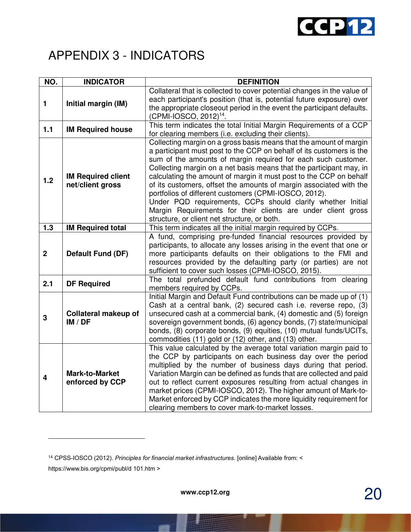

### APPENDIX 3 - INDICATORS

| NO.                     | <b>INDICATOR</b>                              | <b>DEFINITION</b>                                                                                                                                                                                                                                                                                                                                                                                                                                                                                                                                                                                                                                                      |
|-------------------------|-----------------------------------------------|------------------------------------------------------------------------------------------------------------------------------------------------------------------------------------------------------------------------------------------------------------------------------------------------------------------------------------------------------------------------------------------------------------------------------------------------------------------------------------------------------------------------------------------------------------------------------------------------------------------------------------------------------------------------|
| 1                       | Initial margin (IM)                           | Collateral that is collected to cover potential changes in the value of<br>each participant's position (that is, potential future exposure) over<br>the appropriate closeout period in the event the participant defaults.<br>(CPMI-IOSCO, 2012) <sup>14</sup> .                                                                                                                                                                                                                                                                                                                                                                                                       |
| 1.1                     | <b>IM Required house</b>                      | This term indicates the total Initial Margin Requirements of a CCP<br>for clearing members (i.e. excluding their clients).                                                                                                                                                                                                                                                                                                                                                                                                                                                                                                                                             |
| 1.2                     | <b>IM Required client</b><br>net/client gross | Collecting margin on a gross basis means that the amount of margin<br>a participant must post to the CCP on behalf of its customers is the<br>sum of the amounts of margin required for each such customer.<br>Collecting margin on a net basis means that the participant may, in<br>calculating the amount of margin it must post to the CCP on behalf<br>of its customers, offset the amounts of margin associated with the<br>portfolios of different customers (CPMI-IOSCO, 2012).<br>Under PQD requirements, CCPs should clarify whether Initial<br>Margin Requirements for their clients are under client gross<br>structure, or client net structure, or both. |
| 1.3                     | <b>IM Required total</b>                      | This term indicates all the initial margin required by CCPs.                                                                                                                                                                                                                                                                                                                                                                                                                                                                                                                                                                                                           |
| $\mathbf{2}$            | <b>Default Fund (DF)</b>                      | A fund, comprising pre-funded financial resources provided by<br>participants, to allocate any losses arising in the event that one or<br>more participants defaults on their obligations to the FMI and<br>resources provided by the defaulting party (or parties) are not<br>sufficient to cover such losses (CPMI-IOSCO, 2015).                                                                                                                                                                                                                                                                                                                                     |
| 2.1                     | <b>DF Required</b>                            | The total prefunded default fund contributions from clearing<br>members required by CCPs.                                                                                                                                                                                                                                                                                                                                                                                                                                                                                                                                                                              |
| 3                       | <b>Collateral makeup of</b><br>IM / DF        | Initial Margin and Default Fund contributions can be made up of (1)<br>Cash at a central bank, (2) secured cash i.e. reverse repo, (3)<br>unsecured cash at a commercial bank, (4) domestic and (5) foreign<br>sovereign government bonds, (6) agency bonds, (7) state/municipal<br>bonds, (8) corporate bonds, (9) equities, (10) mutual funds/UCITs,<br>commodities (11) gold or (12) other, and (13) other.                                                                                                                                                                                                                                                         |
| $\overline{\mathbf{4}}$ | <b>Mark-to-Market</b><br>enforced by CCP      | This value calculated by the average total variation margin paid to<br>the CCP by participants on each business day over the period<br>multiplied by the number of business days during that period.<br>Variation Margin can be defined as funds that are collected and paid<br>out to reflect current exposures resulting from actual changes in<br>market prices (CPMI-IOSCO, 2012). The higher amount of Mark-to-<br>Market enforced by CCP indicates the more liquidity requirement for<br>clearing members to cover mark-to-market losses.                                                                                                                        |

<sup>14</sup> CPSS-IOSCO (2012). *Principles for financial market infrastructures*. [online] Available from: < https://www.bis.org/cpmi/publ/d 101.htm >

<u>.</u>

20 **www.ccp12.org**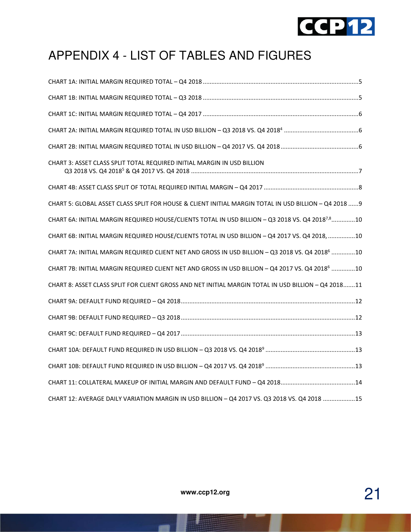

# APPENDIX 4 - LIST OF TABLES AND FIGURES

| CHART 3: ASSET CLASS SPLIT TOTAL REQUIRED INITIAL MARGIN IN USD BILLION                                      |
|--------------------------------------------------------------------------------------------------------------|
|                                                                                                              |
| CHART 5: GLOBAL ASSET CLASS SPLIT FOR HOUSE & CLIENT INITIAL MARGIN TOTAL IN USD BILLION - Q4 2018  9        |
| CHART 6A: INITIAL MARGIN REQUIRED HOUSE/CLIENTS TOTAL IN USD BILLION - Q3 2018 VS. Q4 2018 <sup>7,8</sup> 10 |
| CHART 6B: INITIAL MARGIN REQUIRED HOUSE/CLIENTS TOTAL IN USD BILLION - Q4 2017 VS. Q4 2018, 10               |
| CHART 7A: INITIAL MARGIN REQUIRED CLIENT NET AND GROSS IN USD BILLION - Q3 2018 VS. Q4 2018 <sup>6</sup> 10  |
| CHART 7B: INITIAL MARGIN REQUIRED CLIENT NET AND GROSS IN USD BILLION - Q4 2017 VS. Q4 2018 <sup>6</sup> 10  |
| CHART 8: ASSET CLASS SPLIT FOR CLIENT GROSS AND NET INITIAL MARGIN TOTAL IN USD BILLION - Q4 201811          |
|                                                                                                              |
|                                                                                                              |
|                                                                                                              |
|                                                                                                              |
|                                                                                                              |
|                                                                                                              |
| CHART 12: AVERAGE DAILY VARIATION MARGIN IN USD BILLION - Q4 2017 VS. Q3 2018 VS. Q4 2018 15                 |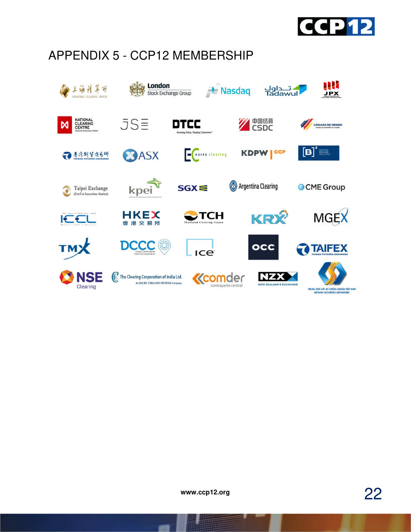

# APPENDIX 5 - CCP12 MEMBERSHIP



22 **www.ccp12.org**